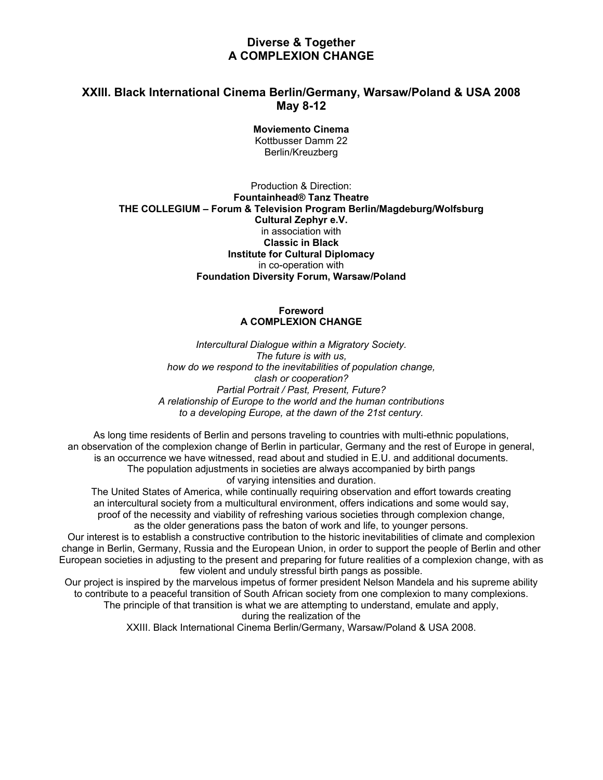# **Diverse & Together A COMPLEXION CHANGE**

# **XXIII. Black International Cinema Berlin/Germany, Warsaw/Poland & USA 2008 May 8-12**

**Moviemento Cinema**  Kottbusser Damm 22 Berlin/Kreuzberg

## Production & Direction: **Fountainhead® Tanz Theatre THE COLLEGIUM – Forum & Television Program Berlin/Magdeburg/Wolfsburg Cultural Zephyr e.V.**  in association with **Classic in Black Institute for Cultural Diplomacy**  in co-operation with **Foundation Diversity Forum, Warsaw/Poland**

## **Foreword A COMPLEXION CHANGE**

*Intercultural Dialogue within a Migratory Society. The future is with us, how do we respond to the inevitabilities of population change, clash or cooperation? Partial Portrait / Past, Present, Future? A relationship of Europe to the world and the human contributions to a developing Europe, at the dawn of the 21st century.* 

As long time residents of Berlin and persons traveling to countries with multi-ethnic populations, an observation of the complexion change of Berlin in particular, Germany and the rest of Europe in general, is an occurrence we have witnessed, read about and studied in E.U. and additional documents. The population adjustments in societies are always accompanied by birth pangs of varying intensities and duration.

The United States of America, while continually requiring observation and effort towards creating an intercultural society from a multicultural environment, offers indications and some would say, proof of the necessity and viability of refreshing various societies through complexion change, as the older generations pass the baton of work and life, to younger persons.

Our interest is to establish a constructive contribution to the historic inevitabilities of climate and complexion change in Berlin, Germany, Russia and the European Union, in order to support the people of Berlin and other European societies in adjusting to the present and preparing for future realities of a complexion change, with as few violent and unduly stressful birth pangs as possible.

Our project is inspired by the marvelous impetus of former president Nelson Mandela and his supreme ability to contribute to a peaceful transition of South African society from one complexion to many complexions. The principle of that transition is what we are attempting to understand, emulate and apply,

during the realization of the

XXIII. Black International Cinema Berlin/Germany, Warsaw/Poland & USA 2008.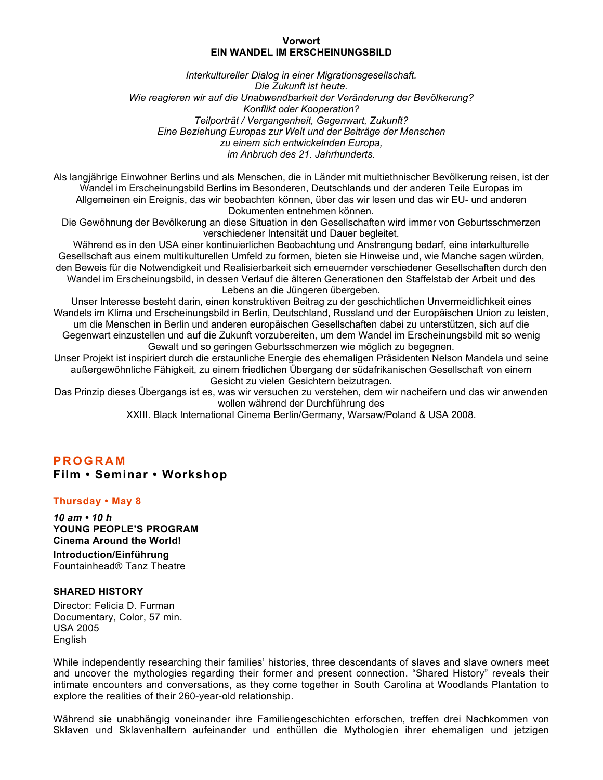#### **Vorwort EIN WANDEL IM ERSCHEINUNGSBILD**

*Interkultureller Dialog in einer Migrationsgesellschaft. Die Zukunft ist heute. Wie reagieren wir auf die Unabwendbarkeit der Veränderung der Bevölkerung? Konflikt oder Kooperation? Teilporträt / Vergangenheit, Gegenwart, Zukunft? Eine Beziehung Europas zur Welt und der Beiträge der Menschen zu einem sich entwickelnden Europa, im Anbruch des 21. Jahrhunderts.* 

Als langjährige Einwohner Berlins und als Menschen, die in Länder mit multiethnischer Bevölkerung reisen, ist der Wandel im Erscheinungsbild Berlins im Besonderen, Deutschlands und der anderen Teile Europas im Allgemeinen ein Ereignis, das wir beobachten können, über das wir lesen und das wir EU- und anderen Dokumenten entnehmen können.

Die Gewöhnung der Bevölkerung an diese Situation in den Gesellschaften wird immer von Geburtsschmerzen verschiedener Intensität und Dauer begleitet.

Während es in den USA einer kontinuierlichen Beobachtung und Anstrengung bedarf, eine interkulturelle Gesellschaft aus einem multikulturellen Umfeld zu formen, bieten sie Hinweise und, wie Manche sagen würden, den Beweis für die Notwendigkeit und Realisierbarkeit sich erneuernder verschiedener Gesellschaften durch den Wandel im Erscheinungsbild, in dessen Verlauf die älteren Generationen den Staffelstab der Arbeit und des Lebens an die Jüngeren übergeben.

Unser Interesse besteht darin, einen konstruktiven Beitrag zu der geschichtlichen Unvermeidlichkeit eines Wandels im Klima und Erscheinungsbild in Berlin, Deutschland, Russland und der Europäischen Union zu leisten, um die Menschen in Berlin und anderen europäischen Gesellschaften dabei zu unterstützen, sich auf die Gegenwart einzustellen und auf die Zukunft vorzubereiten, um dem Wandel im Erscheinungsbild mit so wenig Gewalt und so geringen Geburtsschmerzen wie möglich zu begegnen.

Unser Projekt ist inspiriert durch die erstaunliche Energie des ehemaligen Präsidenten Nelson Mandela und seine außergewöhnliche Fähigkeit, zu einem friedlichen Übergang der südafrikanischen Gesellschaft von einem Gesicht zu vielen Gesichtern beizutragen.

Das Prinzip dieses Übergangs ist es, was wir versuchen zu verstehen, dem wir nacheifern und das wir anwenden wollen während der Durchführung des

XXIII. Black International Cinema Berlin/Germany, Warsaw/Poland & USA 2008.

# **PROGRAM Film • Seminar • Workshop**

## **Thursday • May 8**

*10 am • 10 h* **YOUNG PEOPLE'S PROGRAM Cinema Around the World!**

**Introduction/Einführung**  Fountainhead® Tanz Theatre

## **SHARED HISTORY**

Director: Felicia D. Furman Documentary, Color, 57 min. USA 2005 English

While independently researching their families' histories, three descendants of slaves and slave owners meet and uncover the mythologies regarding their former and present connection. "Shared History" reveals their intimate encounters and conversations, as they come together in South Carolina at Woodlands Plantation to explore the realities of their 260-year-old relationship.

Während sie unabhängig voneinander ihre Familiengeschichten erforschen, treffen drei Nachkommen von Sklaven und Sklavenhaltern aufeinander und enthüllen die Mythologien ihrer ehemaligen und jetzigen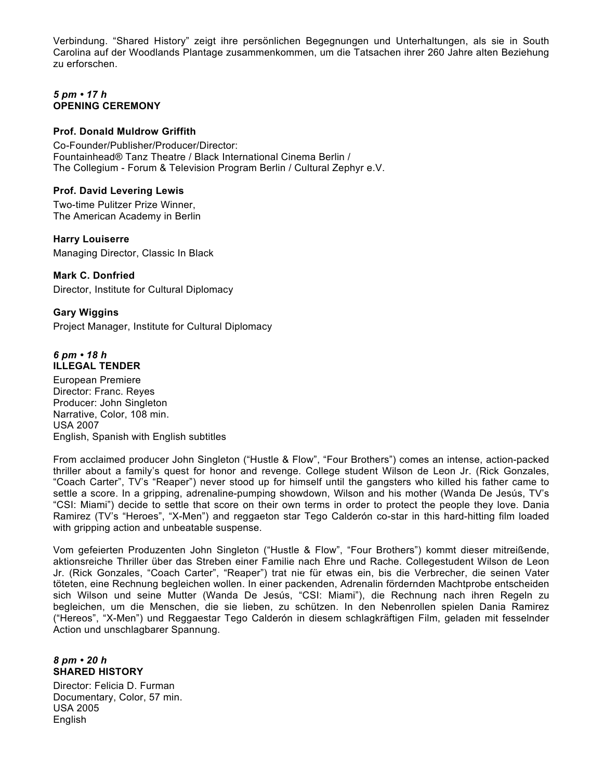Verbindung. "Shared History" zeigt ihre persönlichen Begegnungen und Unterhaltungen, als sie in South Carolina auf der Woodlands Plantage zusammenkommen, um die Tatsachen ihrer 260 Jahre alten Beziehung zu erforschen.

## *5 pm • 17 h*  **OPENING CEREMONY**

## **Prof. Donald Muldrow Griffith**

Co-Founder/Publisher/Producer/Director: Fountainhead® Tanz Theatre / Black International Cinema Berlin / The Collegium - Forum & Television Program Berlin / Cultural Zephyr e.V.

## **Prof. David Levering Lewis**

Two-time Pulitzer Prize Winner, The American Academy in Berlin

## **Harry Louiserre**

Managing Director, Classic In Black

## **Mark C. Donfried**

Director, Institute for Cultural Diplomacy

## **Gary Wiggins**

Project Manager, Institute for Cultural Diplomacy

#### *6 pm • 18 h*  **ILLEGAL TENDER**

European Premiere Director: Franc. Reyes Producer: John Singleton Narrative, Color, 108 min. USA 2007 English, Spanish with English subtitles

From acclaimed producer John Singleton ("Hustle & Flow", "Four Brothers") comes an intense, action-packed thriller about a family's quest for honor and revenge. College student Wilson de Leon Jr. (Rick Gonzales, "Coach Carter", TV's "Reaper") never stood up for himself until the gangsters who killed his father came to settle a score. In a gripping, adrenaline-pumping showdown, Wilson and his mother (Wanda De Jesús, TV's "CSI: Miami") decide to settle that score on their own terms in order to protect the people they love. Dania Ramirez (TV's "Heroes", "X-Men") and reggaeton star Tego Calderón co-star in this hard-hitting film loaded with gripping action and unbeatable suspense.

Vom gefeierten Produzenten John Singleton ("Hustle & Flow", "Four Brothers") kommt dieser mitreißende, aktionsreiche Thriller über das Streben einer Familie nach Ehre und Rache. Collegestudent Wilson de Leon Jr. (Rick Gonzales, "Coach Carter", "Reaper") trat nie für etwas ein, bis die Verbrecher, die seinen Vater töteten, eine Rechnung begleichen wollen. In einer packenden, Adrenalin fördernden Machtprobe entscheiden sich Wilson und seine Mutter (Wanda De Jesús, "CSI: Miami"), die Rechnung nach ihren Regeln zu begleichen, um die Menschen, die sie lieben, zu schützen. In den Nebenrollen spielen Dania Ramirez ("Hereos", "X-Men") und Reggaestar Tego Calderón in diesem schlagkräftigen Film, geladen mit fesselnder Action und unschlagbarer Spannung.

## *8 pm • 20 h*  **SHARED HISTORY**

Director: Felicia D. Furman Documentary, Color, 57 min. USA 2005 English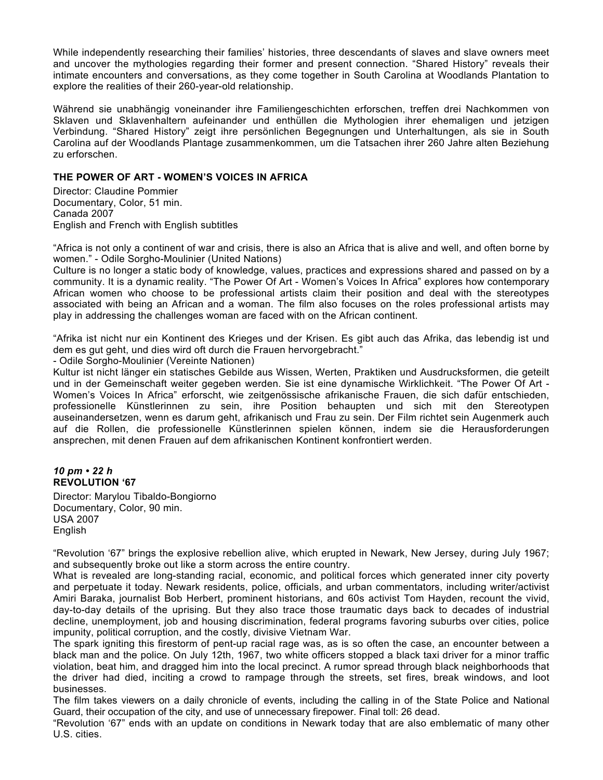While independently researching their families' histories, three descendants of slaves and slave owners meet and uncover the mythologies regarding their former and present connection. "Shared History" reveals their intimate encounters and conversations, as they come together in South Carolina at Woodlands Plantation to explore the realities of their 260-year-old relationship.

Während sie unabhängig voneinander ihre Familiengeschichten erforschen, treffen drei Nachkommen von Sklaven und Sklavenhaltern aufeinander und enthüllen die Mythologien ihrer ehemaligen und jetzigen Verbindung. "Shared History" zeigt ihre persönlichen Begegnungen und Unterhaltungen, als sie in South Carolina auf der Woodlands Plantage zusammenkommen, um die Tatsachen ihrer 260 Jahre alten Beziehung zu erforschen.

## **THE POWER OF ART - WOMEN'S VOICES IN AFRICA**

Director: Claudine Pommier Documentary, Color, 51 min. Canada 2007 English and French with English subtitles

"Africa is not only a continent of war and crisis, there is also an Africa that is alive and well, and often borne by women." - Odile Sorgho-Moulinier (United Nations)

Culture is no longer a static body of knowledge, values, practices and expressions shared and passed on by a community. It is a dynamic reality. "The Power Of Art - Women's Voices In Africa" explores how contemporary African women who choose to be professional artists claim their position and deal with the stereotypes associated with being an African and a woman. The film also focuses on the roles professional artists may play in addressing the challenges woman are faced with on the African continent.

"Afrika ist nicht nur ein Kontinent des Krieges und der Krisen. Es gibt auch das Afrika, das lebendig ist und dem es gut geht, und dies wird oft durch die Frauen hervorgebracht."

- Odile Sorgho-Moulinier (Vereinte Nationen)

Kultur ist nicht länger ein statisches Gebilde aus Wissen, Werten, Praktiken und Ausdrucksformen, die geteilt und in der Gemeinschaft weiter gegeben werden. Sie ist eine dynamische Wirklichkeit. "The Power Of Art - Women's Voices In Africa" erforscht, wie zeitgenössische afrikanische Frauen, die sich dafür entschieden, professionelle Künstlerinnen zu sein, ihre Position behaupten und sich mit den Stereotypen auseinandersetzen, wenn es darum geht, afrikanisch und Frau zu sein. Der Film richtet sein Augenmerk auch auf die Rollen, die professionelle Künstlerinnen spielen können, indem sie die Herausforderungen ansprechen, mit denen Frauen auf dem afrikanischen Kontinent konfrontiert werden.

#### *10 pm • 22 h*  **REVOLUTION '67**

Director: Marylou Tibaldo-Bongiorno Documentary, Color, 90 min. USA 2007 English

"Revolution '67" brings the explosive rebellion alive, which erupted in Newark, New Jersey, during July 1967; and subsequently broke out like a storm across the entire country.

What is revealed are long-standing racial, economic, and political forces which generated inner city poverty and perpetuate it today. Newark residents, police, officials, and urban commentators, including writer/activist Amiri Baraka, journalist Bob Herbert, prominent historians, and 60s activist Tom Hayden, recount the vivid, day-to-day details of the uprising. But they also trace those traumatic days back to decades of industrial decline, unemployment, job and housing discrimination, federal programs favoring suburbs over cities, police impunity, political corruption, and the costly, divisive Vietnam War.

The spark igniting this firestorm of pent-up racial rage was, as is so often the case, an encounter between a black man and the police. On July 12th, 1967, two white officers stopped a black taxi driver for a minor traffic violation, beat him, and dragged him into the local precinct. A rumor spread through black neighborhoods that the driver had died, inciting a crowd to rampage through the streets, set fires, break windows, and loot businesses.

The film takes viewers on a daily chronicle of events, including the calling in of the State Police and National Guard, their occupation of the city, and use of unnecessary firepower. Final toll: 26 dead.

"Revolution '67" ends with an update on conditions in Newark today that are also emblematic of many other U.S. cities.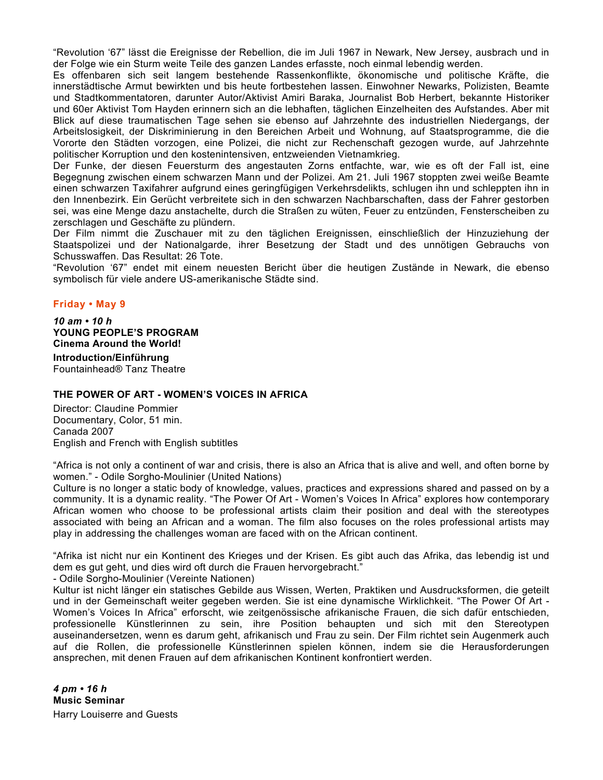"Revolution '67" lässt die Ereignisse der Rebellion, die im Juli 1967 in Newark, New Jersey, ausbrach und in der Folge wie ein Sturm weite Teile des ganzen Landes erfasste, noch einmal lebendig werden.

Es offenbaren sich seit langem bestehende Rassenkonflikte, ökonomische und politische Kräfte, die innerstädtische Armut bewirkten und bis heute fortbestehen lassen. Einwohner Newarks, Polizisten, Beamte und Stadtkommentatoren, darunter Autor/Aktivist Amiri Baraka, Journalist Bob Herbert, bekannte Historiker und 60er Aktivist Tom Hayden erinnern sich an die lebhaften, täglichen Einzelheiten des Aufstandes. Aber mit Blick auf diese traumatischen Tage sehen sie ebenso auf Jahrzehnte des industriellen Niedergangs, der Arbeitslosigkeit, der Diskriminierung in den Bereichen Arbeit und Wohnung, auf Staatsprogramme, die die Vororte den Städten vorzogen, eine Polizei, die nicht zur Rechenschaft gezogen wurde, auf Jahrzehnte politischer Korruption und den kostenintensiven, entzweienden Vietnamkrieg.

Der Funke, der diesen Feuersturm des angestauten Zorns entfachte, war, wie es oft der Fall ist, eine Begegnung zwischen einem schwarzen Mann und der Polizei. Am 21. Juli 1967 stoppten zwei weiße Beamte einen schwarzen Taxifahrer aufgrund eines geringfügigen Verkehrsdelikts, schlugen ihn und schleppten ihn in den Innenbezirk. Ein Gerücht verbreitete sich in den schwarzen Nachbarschaften, dass der Fahrer gestorben sei, was eine Menge dazu anstachelte, durch die Straßen zu wüten, Feuer zu entzünden, Fensterscheiben zu zerschlagen und Geschäfte zu plündern.

Der Film nimmt die Zuschauer mit zu den täglichen Ereignissen, einschließlich der Hinzuziehung der Staatspolizei und der Nationalgarde, ihrer Besetzung der Stadt und des unnötigen Gebrauchs von Schusswaffen. Das Resultat: 26 Tote.

"Revolution '67" endet mit einem neuesten Bericht über die heutigen Zustände in Newark, die ebenso symbolisch für viele andere US-amerikanische Städte sind.

## **Friday • May 9**

*10 am • 10 h*  **YOUNG PEOPLE'S PROGRAM Cinema Around the World!**

**Introduction/Einführung**  Fountainhead® Tanz Theatre

## **THE POWER OF ART - WOMEN'S VOICES IN AFRICA**

Director: Claudine Pommier Documentary, Color, 51 min. Canada 2007 English and French with English subtitles

"Africa is not only a continent of war and crisis, there is also an Africa that is alive and well, and often borne by women." - Odile Sorgho-Moulinier (United Nations)

Culture is no longer a static body of knowledge, values, practices and expressions shared and passed on by a community. It is a dynamic reality. "The Power Of Art - Women's Voices In Africa" explores how contemporary African women who choose to be professional artists claim their position and deal with the stereotypes associated with being an African and a woman. The film also focuses on the roles professional artists may play in addressing the challenges woman are faced with on the African continent.

"Afrika ist nicht nur ein Kontinent des Krieges und der Krisen. Es gibt auch das Afrika, das lebendig ist und dem es gut geht, und dies wird oft durch die Frauen hervorgebracht."

- Odile Sorgho-Moulinier (Vereinte Nationen)

Kultur ist nicht länger ein statisches Gebilde aus Wissen, Werten, Praktiken und Ausdrucksformen, die geteilt und in der Gemeinschaft weiter gegeben werden. Sie ist eine dynamische Wirklichkeit. "The Power Of Art - Women's Voices In Africa" erforscht, wie zeitgenössische afrikanische Frauen, die sich dafür entschieden, professionelle Künstlerinnen zu sein, ihre Position behaupten und sich mit den Stereotypen auseinandersetzen, wenn es darum geht, afrikanisch und Frau zu sein. Der Film richtet sein Augenmerk auch auf die Rollen, die professionelle Künstlerinnen spielen können, indem sie die Herausforderungen ansprechen, mit denen Frauen auf dem afrikanischen Kontinent konfrontiert werden.

*4 pm • 16 h*  **Music Seminar**  Harry Louiserre and Guests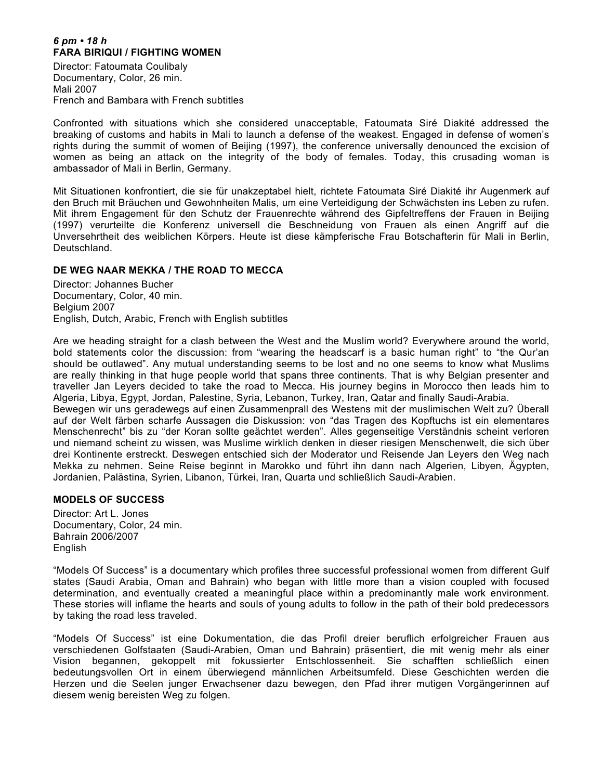## *6 pm • 18 h*  **FARA BIRIQUI / FIGHTING WOMEN**

Director: Fatoumata Coulibaly Documentary, Color, 26 min. Mali 2007 French and Bambara with French subtitles

Confronted with situations which she considered unacceptable, Fatoumata Siré Diakité addressed the breaking of customs and habits in Mali to launch a defense of the weakest. Engaged in defense of women's rights during the summit of women of Beijing (1997), the conference universally denounced the excision of women as being an attack on the integrity of the body of females. Today, this crusading woman is ambassador of Mali in Berlin, Germany.

Mit Situationen konfrontiert, die sie für unakzeptabel hielt, richtete Fatoumata Siré Diakité ihr Augenmerk auf den Bruch mit Bräuchen und Gewohnheiten Malis, um eine Verteidigung der Schwächsten ins Leben zu rufen. Mit ihrem Engagement für den Schutz der Frauenrechte während des Gipfeltreffens der Frauen in Beijing (1997) verurteilte die Konferenz universell die Beschneidung von Frauen als einen Angriff auf die Unversehrtheit des weiblichen Körpers. Heute ist diese kämpferische Frau Botschafterin für Mali in Berlin, Deutschland.

## **DE WEG NAAR MEKKA / THE ROAD TO MECCA**

Director: Johannes Bucher Documentary, Color, 40 min. Belgium 2007 English, Dutch, Arabic, French with English subtitles

Are we heading straight for a clash between the West and the Muslim world? Everywhere around the world, bold statements color the discussion: from "wearing the headscarf is a basic human right" to "the Qur'an should be outlawed". Any mutual understanding seems to be lost and no one seems to know what Muslims are really thinking in that huge people world that spans three continents. That is why Belgian presenter and traveller Jan Leyers decided to take the road to Mecca. His journey begins in Morocco then leads him to Algeria, Libya, Egypt, Jordan, Palestine, Syria, Lebanon, Turkey, Iran, Qatar and finally Saudi-Arabia. Bewegen wir uns geradewegs auf einen Zusammenprall des Westens mit der muslimischen Welt zu? Überall

auf der Welt färben scharfe Aussagen die Diskussion: von "das Tragen des Kopftuchs ist ein elementares Menschenrecht" bis zu "der Koran sollte geächtet werden". Alles gegenseitige Verständnis scheint verloren und niemand scheint zu wissen, was Muslime wirklich denken in dieser riesigen Menschenwelt, die sich über drei Kontinente erstreckt. Deswegen entschied sich der Moderator und Reisende Jan Leyers den Weg nach Mekka zu nehmen. Seine Reise beginnt in Marokko und führt ihn dann nach Algerien, Libyen, Ägypten, Jordanien, Palästina, Syrien, Libanon, Türkei, Iran, Quarta und schließlich Saudi-Arabien.

## **MODELS OF SUCCESS**

Director: Art L. Jones Documentary, Color, 24 min. Bahrain 2006/2007 English

"Models Of Success" is a documentary which profiles three successful professional women from different Gulf states (Saudi Arabia, Oman and Bahrain) who began with little more than a vision coupled with focused determination, and eventually created a meaningful place within a predominantly male work environment. These stories will inflame the hearts and souls of young adults to follow in the path of their bold predecessors by taking the road less traveled.

"Models Of Success" ist eine Dokumentation, die das Profil dreier beruflich erfolgreicher Frauen aus verschiedenen Golfstaaten (Saudi-Arabien, Oman und Bahrain) präsentiert, die mit wenig mehr als einer Vision begannen, gekoppelt mit fokussierter Entschlossenheit. Sie schafften schließlich einen bedeutungsvollen Ort in einem überwiegend männlichen Arbeitsumfeld. Diese Geschichten werden die Herzen und die Seelen junger Erwachsener dazu bewegen, den Pfad ihrer mutigen Vorgängerinnen auf diesem wenig bereisten Weg zu folgen.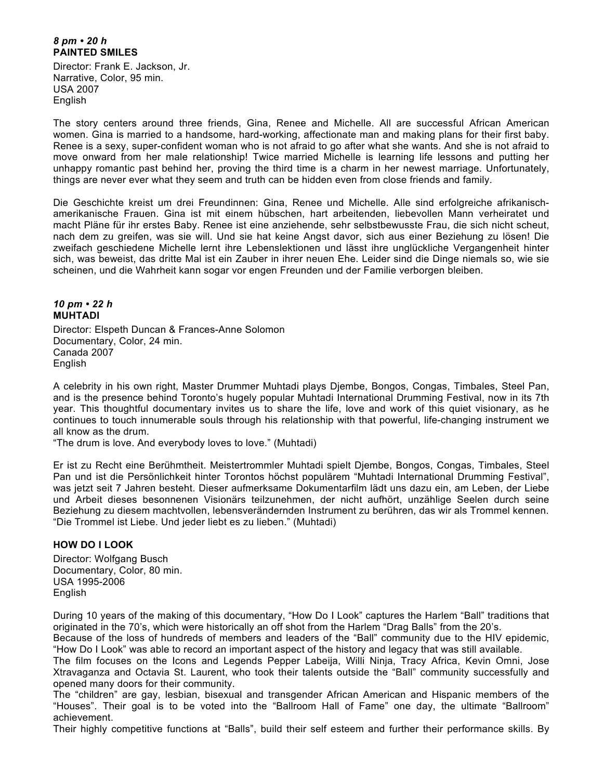## *8 pm • 20 h*  **PAINTED SMILES**

Director: Frank E. Jackson, Jr. Narrative, Color, 95 min. USA 2007 English

The story centers around three friends, Gina, Renee and Michelle. All are successful African American women. Gina is married to a handsome, hard-working, affectionate man and making plans for their first baby. Renee is a sexy, super-confident woman who is not afraid to go after what she wants. And she is not afraid to move onward from her male relationship! Twice married Michelle is learning life lessons and putting her unhappy romantic past behind her, proving the third time is a charm in her newest marriage. Unfortunately, things are never ever what they seem and truth can be hidden even from close friends and family.

Die Geschichte kreist um drei Freundinnen: Gina, Renee und Michelle. Alle sind erfolgreiche afrikanischamerikanische Frauen. Gina ist mit einem hübschen, hart arbeitenden, liebevollen Mann verheiratet und macht Pläne für ihr erstes Baby. Renee ist eine anziehende, sehr selbstbewusste Frau, die sich nicht scheut, nach dem zu greifen, was sie will. Und sie hat keine Angst davor, sich aus einer Beziehung zu lösen! Die zweifach geschiedene Michelle lernt ihre Lebenslektionen und lässt ihre unglückliche Vergangenheit hinter sich, was beweist, das dritte Mal ist ein Zauber in ihrer neuen Ehe. Leider sind die Dinge niemals so, wie sie scheinen, und die Wahrheit kann sogar vor engen Freunden und der Familie verborgen bleiben.

#### *10 pm • 22 h*  **MUHTADI**

Director: Elspeth Duncan & Frances-Anne Solomon Documentary, Color, 24 min. Canada 2007 English

A celebrity in his own right, Master Drummer Muhtadi plays Djembe, Bongos, Congas, Timbales, Steel Pan, and is the presence behind Toronto's hugely popular Muhtadi International Drumming Festival, now in its 7th year. This thoughtful documentary invites us to share the life, love and work of this quiet visionary, as he continues to touch innumerable souls through his relationship with that powerful, life-changing instrument we all know as the drum.

"The drum is love. And everybody loves to love." (Muhtadi)

Er ist zu Recht eine Berühmtheit. Meistertrommler Muhtadi spielt Djembe, Bongos, Congas, Timbales, Steel Pan und ist die Persönlichkeit hinter Torontos höchst populärem "Muhtadi International Drumming Festival", was jetzt seit 7 Jahren besteht. Dieser aufmerksame Dokumentarfilm lädt uns dazu ein, am Leben, der Liebe und Arbeit dieses besonnenen Visionärs teilzunehmen, der nicht aufhört, unzählige Seelen durch seine Beziehung zu diesem machtvollen, lebensverändernden Instrument zu berühren, das wir als Trommel kennen. "Die Trommel ist Liebe. Und jeder liebt es zu lieben." (Muhtadi)

## **HOW DO I LOOK**

Director: Wolfgang Busch Documentary, Color, 80 min. USA 1995-2006 **English** 

During 10 years of the making of this documentary, "How Do I Look" captures the Harlem "Ball" traditions that originated in the 70's, which were historically an off shot from the Harlem "Drag Balls" from the 20's.

Because of the loss of hundreds of members and leaders of the "Ball" community due to the HIV epidemic, "How Do I Look" was able to record an important aspect of the history and legacy that was still available.

The film focuses on the Icons and Legends Pepper Labeija, Willi Ninja, Tracy Africa, Kevin Omni, Jose Xtravaganza and Octavia St. Laurent, who took their talents outside the "Ball" community successfully and opened many doors for their community.

The "children" are gay, lesbian, bisexual and transgender African American and Hispanic members of the "Houses". Their goal is to be voted into the "Ballroom Hall of Fame" one day, the ultimate "Ballroom" achievement.

Their highly competitive functions at "Balls", build their self esteem and further their performance skills. By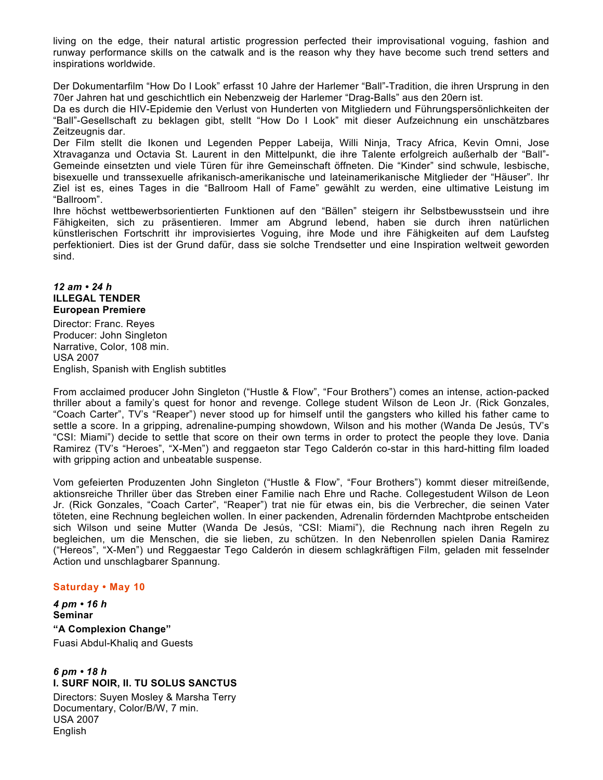living on the edge, their natural artistic progression perfected their improvisational voguing, fashion and runway performance skills on the catwalk and is the reason why they have become such trend setters and inspirations worldwide.

Der Dokumentarfilm "How Do I Look" erfasst 10 Jahre der Harlemer "Ball"-Tradition, die ihren Ursprung in den 70er Jahren hat und geschichtlich ein Nebenzweig der Harlemer "Drag-Balls" aus den 20ern ist.

Da es durch die HIV-Epidemie den Verlust von Hunderten von Mitgliedern und Führungspersönlichkeiten der "Ball"-Gesellschaft zu beklagen gibt, stellt "How Do I Look" mit dieser Aufzeichnung ein unschätzbares Zeitzeugnis dar.

Der Film stellt die Ikonen und Legenden Pepper Labeija, Willi Ninja, Tracy Africa, Kevin Omni, Jose Xtravaganza und Octavia St. Laurent in den Mittelpunkt, die ihre Talente erfolgreich außerhalb der "Ball"- Gemeinde einsetzten und viele Türen für ihre Gemeinschaft öffneten. Die "Kinder" sind schwule, lesbische, bisexuelle und transsexuelle afrikanisch-amerikanische und lateinamerikanische Mitglieder der "Häuser". Ihr Ziel ist es, eines Tages in die "Ballroom Hall of Fame" gewählt zu werden, eine ultimative Leistung im "Ballroom".

Ihre höchst wettbewerbsorientierten Funktionen auf den "Bällen" steigern ihr Selbstbewusstsein und ihre Fähigkeiten, sich zu präsentieren. Immer am Abgrund lebend, haben sie durch ihren natürlichen künstlerischen Fortschritt ihr improvisiertes Voguing, ihre Mode und ihre Fähigkeiten auf dem Laufsteg perfektioniert. Dies ist der Grund dafür, dass sie solche Trendsetter und eine Inspiration weltweit geworden sind.

#### *12 am • 24 h*  **ILLEGAL TENDER European Premiere**

Director: Franc. Reyes Producer: John Singleton Narrative, Color, 108 min. USA 2007 English, Spanish with English subtitles

From acclaimed producer John Singleton ("Hustle & Flow", "Four Brothers") comes an intense, action-packed thriller about a family's quest for honor and revenge. College student Wilson de Leon Jr. (Rick Gonzales, "Coach Carter", TV's "Reaper") never stood up for himself until the gangsters who killed his father came to settle a score. In a gripping, adrenaline-pumping showdown, Wilson and his mother (Wanda De Jesús, TV's "CSI: Miami") decide to settle that score on their own terms in order to protect the people they love. Dania Ramirez (TV's "Heroes", "X-Men") and reggaeton star Tego Calderón co-star in this hard-hitting film loaded with gripping action and unbeatable suspense.

Vom gefeierten Produzenten John Singleton ("Hustle & Flow", "Four Brothers") kommt dieser mitreißende, aktionsreiche Thriller über das Streben einer Familie nach Ehre und Rache. Collegestudent Wilson de Leon Jr. (Rick Gonzales, "Coach Carter", "Reaper") trat nie für etwas ein, bis die Verbrecher, die seinen Vater töteten, eine Rechnung begleichen wollen. In einer packenden, Adrenalin fördernden Machtprobe entscheiden sich Wilson und seine Mutter (Wanda De Jesús, "CSI: Miami"), die Rechnung nach ihren Regeln zu begleichen, um die Menschen, die sie lieben, zu schützen. In den Nebenrollen spielen Dania Ramirez ("Hereos", "X-Men") und Reggaestar Tego Calderón in diesem schlagkräftigen Film, geladen mit fesselnder Action und unschlagbarer Spannung.

## **Saturday • May 10**

*4 pm • 16 h*  **Seminar "A Complexion Change"**  Fuasi Abdul-Khaliq and Guests

## *6 pm • 18 h*  **I. SURF NOIR, II. TU SOLUS SANCTUS**

Directors: Suyen Mosley & Marsha Terry Documentary, Color/B/W, 7 min. USA 2007 English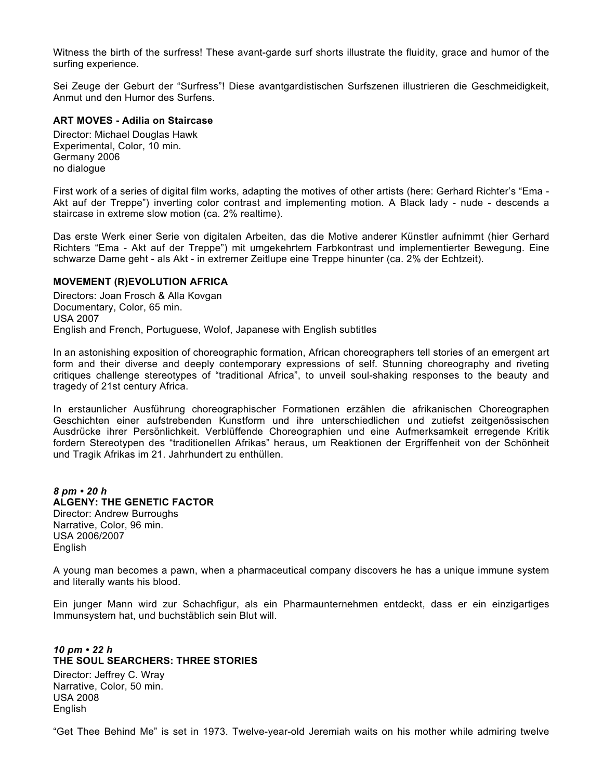Witness the birth of the surfress! These avant-garde surf shorts illustrate the fluidity, grace and humor of the surfing experience.

Sei Zeuge der Geburt der "Surfress"! Diese avantgardistischen Surfszenen illustrieren die Geschmeidigkeit, Anmut und den Humor des Surfens.

## **ART MOVES - Adilia on Staircase**

Director: Michael Douglas Hawk Experimental, Color, 10 min. Germany 2006 no dialogue

First work of a series of digital film works, adapting the motives of other artists (here: Gerhard Richter's "Ema - Akt auf der Treppe") inverting color contrast and implementing motion. A Black lady - nude - descends a staircase in extreme slow motion (ca. 2% realtime).

Das erste Werk einer Serie von digitalen Arbeiten, das die Motive anderer Künstler aufnimmt (hier Gerhard Richters "Ema - Akt auf der Treppe") mit umgekehrtem Farbkontrast und implementierter Bewegung. Eine schwarze Dame geht - als Akt - in extremer Zeitlupe eine Treppe hinunter (ca. 2% der Echtzeit).

## **MOVEMENT (R)EVOLUTION AFRICA**

Directors: Joan Frosch & Alla Kovgan Documentary, Color, 65 min. USA 2007 English and French, Portuguese, Wolof, Japanese with English subtitles

In an astonishing exposition of choreographic formation, African choreographers tell stories of an emergent art form and their diverse and deeply contemporary expressions of self. Stunning choreography and riveting critiques challenge stereotypes of "traditional Africa", to unveil soul-shaking responses to the beauty and tragedy of 21st century Africa.

In erstaunlicher Ausführung choreographischer Formationen erzählen die afrikanischen Choreographen Geschichten einer aufstrebenden Kunstform und ihre unterschiedlichen und zutiefst zeitgenössischen Ausdrücke ihrer Persönlichkeit. Verblüffende Choreographien und eine Aufmerksamkeit erregende Kritik fordern Stereotypen des "traditionellen Afrikas" heraus, um Reaktionen der Ergriffenheit von der Schönheit und Tragik Afrikas im 21. Jahrhundert zu enthüllen.

#### *8 pm • 20 h*  **ALGENY: THE GENETIC FACTOR**  Director: Andrew Burroughs Narrative, Color, 96 min. USA 2006/2007 English

A young man becomes a pawn, when a pharmaceutical company discovers he has a unique immune system and literally wants his blood.

Ein junger Mann wird zur Schachfigur, als ein Pharmaunternehmen entdeckt, dass er ein einzigartiges Immunsystem hat, und buchstäblich sein Blut will.

#### *10 pm • 22 h* **THE SOUL SEARCHERS: THREE STORIES**

Director: Jeffrey C. Wray Narrative, Color, 50 min. USA 2008 English

"Get Thee Behind Me" is set in 1973. Twelve-year-old Jeremiah waits on his mother while admiring twelve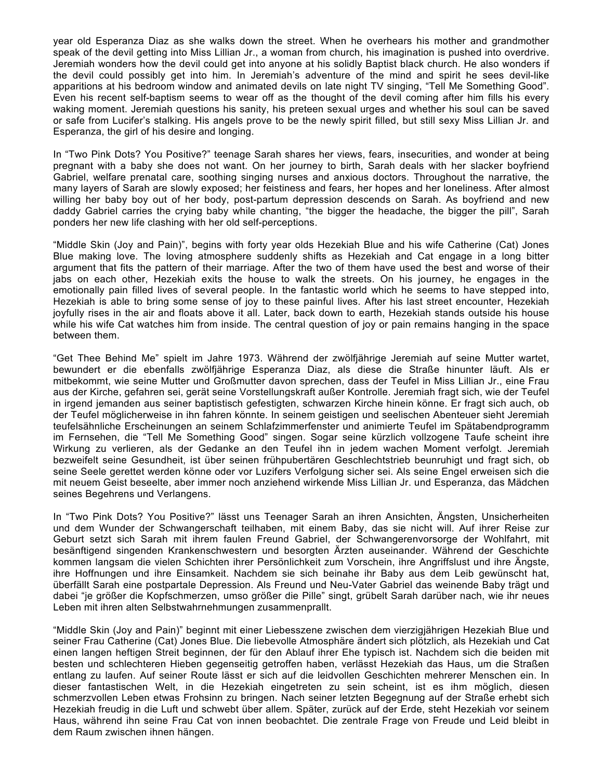year old Esperanza Diaz as she walks down the street. When he overhears his mother and grandmother speak of the devil getting into Miss Lillian Jr., a woman from church, his imagination is pushed into overdrive. Jeremiah wonders how the devil could get into anyone at his solidly Baptist black church. He also wonders if the devil could possibly get into him. In Jeremiah's adventure of the mind and spirit he sees devil-like apparitions at his bedroom window and animated devils on late night TV singing, "Tell Me Something Good". Even his recent self-baptism seems to wear off as the thought of the devil coming after him fills his every waking moment. Jeremiah questions his sanity, his preteen sexual urges and whether his soul can be saved or safe from Lucifer's stalking. His angels prove to be the newly spirit filled, but still sexy Miss Lillian Jr. and Esperanza, the girl of his desire and longing.

In "Two Pink Dots? You Positive?" teenage Sarah shares her views, fears, insecurities, and wonder at being pregnant with a baby she does not want. On her journey to birth, Sarah deals with her slacker boyfriend Gabriel, welfare prenatal care, soothing singing nurses and anxious doctors. Throughout the narrative, the many layers of Sarah are slowly exposed; her feistiness and fears, her hopes and her loneliness. After almost willing her baby boy out of her body, post-partum depression descends on Sarah. As boyfriend and new daddy Gabriel carries the crying baby while chanting, "the bigger the headache, the bigger the pill", Sarah ponders her new life clashing with her old self-perceptions.

"Middle Skin (Joy and Pain)", begins with forty year olds Hezekiah Blue and his wife Catherine (Cat) Jones Blue making love. The loving atmosphere suddenly shifts as Hezekiah and Cat engage in a long bitter argument that fits the pattern of their marriage. After the two of them have used the best and worse of their jabs on each other, Hezekiah exits the house to walk the streets. On his journey, he engages in the emotionally pain filled lives of several people. In the fantastic world which he seems to have stepped into, Hezekiah is able to bring some sense of joy to these painful lives. After his last street encounter, Hezekiah joyfully rises in the air and floats above it all. Later, back down to earth, Hezekiah stands outside his house while his wife Cat watches him from inside. The central question of joy or pain remains hanging in the space between them.

"Get Thee Behind Me" spielt im Jahre 1973. Während der zwölfjährige Jeremiah auf seine Mutter wartet, bewundert er die ebenfalls zwölfjährige Esperanza Diaz, als diese die Straße hinunter läuft. Als er mitbekommt, wie seine Mutter und Großmutter davon sprechen, dass der Teufel in Miss Lillian Jr., eine Frau aus der Kirche, gefahren sei, gerät seine Vorstellungskraft außer Kontrolle. Jeremiah fragt sich, wie der Teufel in irgend jemanden aus seiner baptistisch gefestigten, schwarzen Kirche hinein könne. Er fragt sich auch, ob der Teufel möglicherweise in ihn fahren könnte. In seinem geistigen und seelischen Abenteuer sieht Jeremiah teufelsähnliche Erscheinungen an seinem Schlafzimmerfenster und animierte Teufel im Spätabendprogramm im Fernsehen, die "Tell Me Something Good" singen. Sogar seine kürzlich vollzogene Taufe scheint ihre Wirkung zu verlieren, als der Gedanke an den Teufel ihn in jedem wachen Moment verfolgt. Jeremiah bezweifelt seine Gesundheit, ist über seinen frühpubertären Geschlechtstrieb beunruhigt und fragt sich, ob seine Seele gerettet werden könne oder vor Luzifers Verfolgung sicher sei. Als seine Engel erweisen sich die mit neuem Geist beseelte, aber immer noch anziehend wirkende Miss Lillian Jr. und Esperanza, das Mädchen seines Begehrens und Verlangens.

In "Two Pink Dots? You Positive?" lässt uns Teenager Sarah an ihren Ansichten, Ängsten, Unsicherheiten und dem Wunder der Schwangerschaft teilhaben, mit einem Baby, das sie nicht will. Auf ihrer Reise zur Geburt setzt sich Sarah mit ihrem faulen Freund Gabriel, der Schwangerenvorsorge der Wohlfahrt, mit besänftigend singenden Krankenschwestern und besorgten Ärzten auseinander. Während der Geschichte kommen langsam die vielen Schichten ihrer Persönlichkeit zum Vorschein, ihre Angriffslust und ihre Ängste, ihre Hoffnungen und ihre Einsamkeit. Nachdem sie sich beinahe ihr Baby aus dem Leib gewünscht hat, überfällt Sarah eine postpartale Depression. Als Freund und Neu-Vater Gabriel das weinende Baby trägt und dabei "je größer die Kopfschmerzen, umso größer die Pille" singt, grübelt Sarah darüber nach, wie ihr neues Leben mit ihren alten Selbstwahrnehmungen zusammenprallt.

"Middle Skin (Joy and Pain)" beginnt mit einer Liebesszene zwischen dem vierzigjährigen Hezekiah Blue und seiner Frau Catherine (Cat) Jones Blue. Die liebevolle Atmosphäre ändert sich plötzlich, als Hezekiah und Cat einen langen heftigen Streit beginnen, der für den Ablauf ihrer Ehe typisch ist. Nachdem sich die beiden mit besten und schlechteren Hieben gegenseitig getroffen haben, verlässt Hezekiah das Haus, um die Straßen entlang zu laufen. Auf seiner Route lässt er sich auf die leidvollen Geschichten mehrerer Menschen ein. In dieser fantastischen Welt, in die Hezekiah eingetreten zu sein scheint, ist es ihm möglich, diesen schmerzvollen Leben etwas Frohsinn zu bringen. Nach seiner letzten Begegnung auf der Straße erhebt sich Hezekiah freudig in die Luft und schwebt über allem. Später, zurück auf der Erde, steht Hezekiah vor seinem Haus, während ihn seine Frau Cat von innen beobachtet. Die zentrale Frage von Freude und Leid bleibt in dem Raum zwischen ihnen hängen.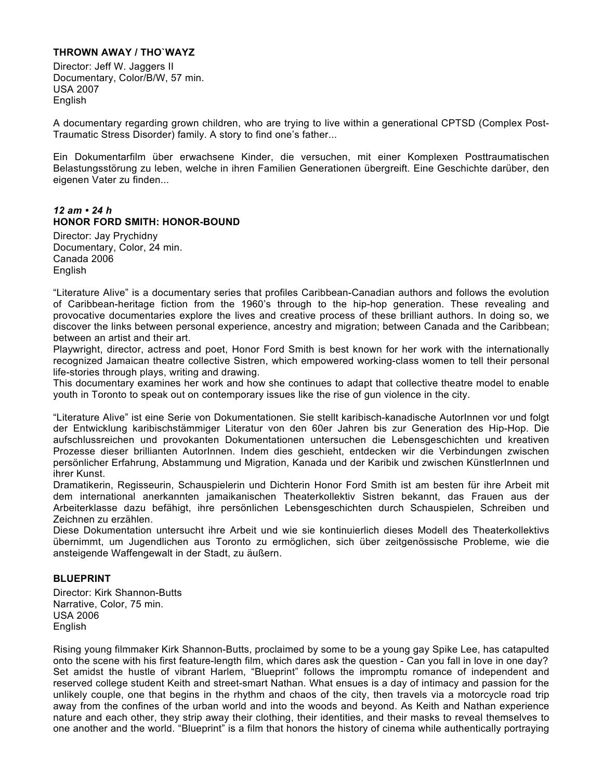## **THROWN AWAY / THO`WAYZ**

Director: Jeff W. Jaggers II Documentary, Color/B/W, 57 min. USA 2007 English

A documentary regarding grown children, who are trying to live within a generational CPTSD (Complex Post-Traumatic Stress Disorder) family. A story to find one's father...

Ein Dokumentarfilm über erwachsene Kinder, die versuchen, mit einer Komplexen Posttraumatischen Belastungsstörung zu leben, welche in ihren Familien Generationen übergreift. Eine Geschichte darüber, den eigenen Vater zu finden...

## *12 am • 24 h*  **HONOR FORD SMITH: HONOR-BOUND**

Director: Jay Prychidny Documentary, Color, 24 min. Canada 2006 English

"Literature Alive" is a documentary series that profiles Caribbean-Canadian authors and follows the evolution of Caribbean-heritage fiction from the 1960's through to the hip-hop generation. These revealing and provocative documentaries explore the lives and creative process of these brilliant authors. In doing so, we discover the links between personal experience, ancestry and migration; between Canada and the Caribbean; between an artist and their art.

Playwright, director, actress and poet, Honor Ford Smith is best known for her work with the internationally recognized Jamaican theatre collective Sistren, which empowered working-class women to tell their personal life-stories through plays, writing and drawing.

This documentary examines her work and how she continues to adapt that collective theatre model to enable youth in Toronto to speak out on contemporary issues like the rise of gun violence in the city.

"Literature Alive" ist eine Serie von Dokumentationen. Sie stellt karibisch-kanadische AutorInnen vor und folgt der Entwicklung karibischstämmiger Literatur von den 60er Jahren bis zur Generation des Hip-Hop. Die aufschlussreichen und provokanten Dokumentationen untersuchen die Lebensgeschichten und kreativen Prozesse dieser brillianten AutorInnen. Indem dies geschieht, entdecken wir die Verbindungen zwischen persönlicher Erfahrung, Abstammung und Migration, Kanada und der Karibik und zwischen KünstlerInnen und ihrer Kunst.

Dramatikerin, Regisseurin, Schauspielerin und Dichterin Honor Ford Smith ist am besten für ihre Arbeit mit dem international anerkannten jamaikanischen Theaterkollektiv Sistren bekannt, das Frauen aus der Arbeiterklasse dazu befähigt, ihre persönlichen Lebensgeschichten durch Schauspielen, Schreiben und Zeichnen zu erzählen.

Diese Dokumentation untersucht ihre Arbeit und wie sie kontinuierlich dieses Modell des Theaterkollektivs übernimmt, um Jugendlichen aus Toronto zu ermöglichen, sich über zeitgenössische Probleme, wie die ansteigende Waffengewalt in der Stadt, zu äußern.

## **BLUEPRINT**

Director: Kirk Shannon-Butts Narrative, Color, 75 min. USA 2006 English

Rising young filmmaker Kirk Shannon-Butts, proclaimed by some to be a young gay Spike Lee, has catapulted onto the scene with his first feature-length film, which dares ask the question - Can you fall in love in one day? Set amidst the hustle of vibrant Harlem, "Blueprint" follows the impromptu romance of independent and reserved college student Keith and street-smart Nathan. What ensues is a day of intimacy and passion for the unlikely couple, one that begins in the rhythm and chaos of the city, then travels via a motorcycle road trip away from the confines of the urban world and into the woods and beyond. As Keith and Nathan experience nature and each other, they strip away their clothing, their identities, and their masks to reveal themselves to one another and the world. "Blueprint" is a film that honors the history of cinema while authentically portraying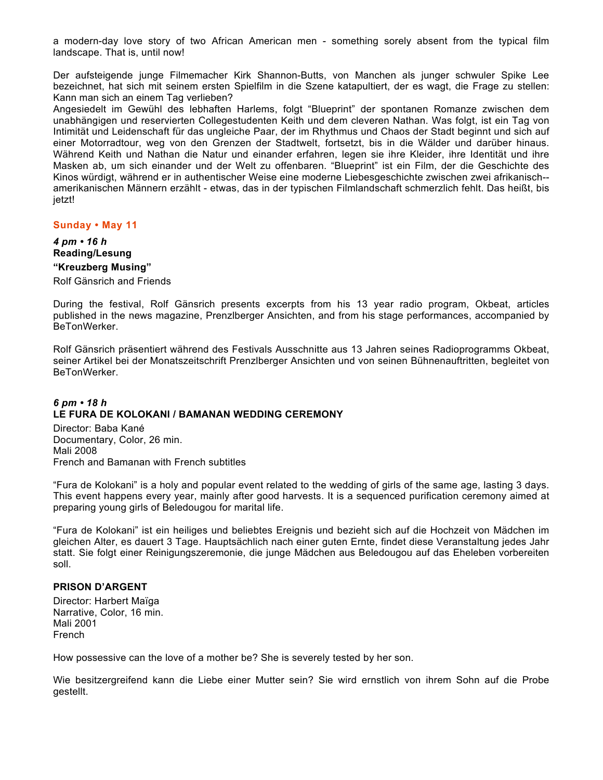a modern-day love story of two African American men - something sorely absent from the typical film landscape. That is, until now!

Der aufsteigende junge Filmemacher Kirk Shannon-Butts, von Manchen als junger schwuler Spike Lee bezeichnet, hat sich mit seinem ersten Spielfilm in die Szene katapultiert, der es wagt, die Frage zu stellen: Kann man sich an einem Tag verlieben?

Angesiedelt im Gewühl des lebhaften Harlems, folgt "Blueprint" der spontanen Romanze zwischen dem unabhängigen und reservierten Collegestudenten Keith und dem cleveren Nathan. Was folgt, ist ein Tag von Intimität und Leidenschaft für das ungleiche Paar, der im Rhythmus und Chaos der Stadt beginnt und sich auf einer Motorradtour, weg von den Grenzen der Stadtwelt, fortsetzt, bis in die Wälder und darüber hinaus. Während Keith und Nathan die Natur und einander erfahren, legen sie ihre Kleider, ihre Identität und ihre Masken ab, um sich einander und der Welt zu offenbaren. "Blueprint" ist ein Film, der die Geschichte des Kinos würdigt, während er in authentischer Weise eine moderne Liebesgeschichte zwischen zwei afrikanisch- amerikanischen Männern erzählt - etwas, das in der typischen Filmlandschaft schmerzlich fehlt. Das heißt, bis jetzt!

**Sunday • May 11** 

*4 pm • 16 h* **Reading/Lesung** 

# **"Kreuzberg Musing"**

Rolf Gänsrich and Friends

During the festival, Rolf Gänsrich presents excerpts from his 13 year radio program, Okbeat, articles published in the news magazine, Prenzlberger Ansichten, and from his stage performances, accompanied by BeTonWerker.

Rolf Gänsrich präsentiert während des Festivals Ausschnitte aus 13 Jahren seines Radioprogramms Okbeat, seiner Artikel bei der Monatszeitschrift Prenzlberger Ansichten und von seinen Bühnenauftritten, begleitet von BeTonWerker.

## *6 pm • 18 h*  **LE FURA DE KOLOKANI / BAMANAN WEDDING CEREMONY**

Director: Baba Kané Documentary, Color, 26 min. Mali 2008 French and Bamanan with French subtitles

"Fura de Kolokani" is a holy and popular event related to the wedding of girls of the same age, lasting 3 days. This event happens every year, mainly after good harvests. It is a sequenced purification ceremony aimed at preparing young girls of Beledougou for marital life.

"Fura de Kolokani" ist ein heiliges und beliebtes Ereignis und bezieht sich auf die Hochzeit von Mädchen im gleichen Alter, es dauert 3 Tage. Hauptsächlich nach einer guten Ernte, findet diese Veranstaltung jedes Jahr statt. Sie folgt einer Reinigungszeremonie, die junge Mädchen aus Beledougou auf das Eheleben vorbereiten soll.

## **PRISON D'ARGENT**

Director: Harbert Maïga Narrative, Color, 16 min. Mali 2001 French

How possessive can the love of a mother be? She is severely tested by her son.

Wie besitzergreifend kann die Liebe einer Mutter sein? Sie wird ernstlich von ihrem Sohn auf die Probe gestellt.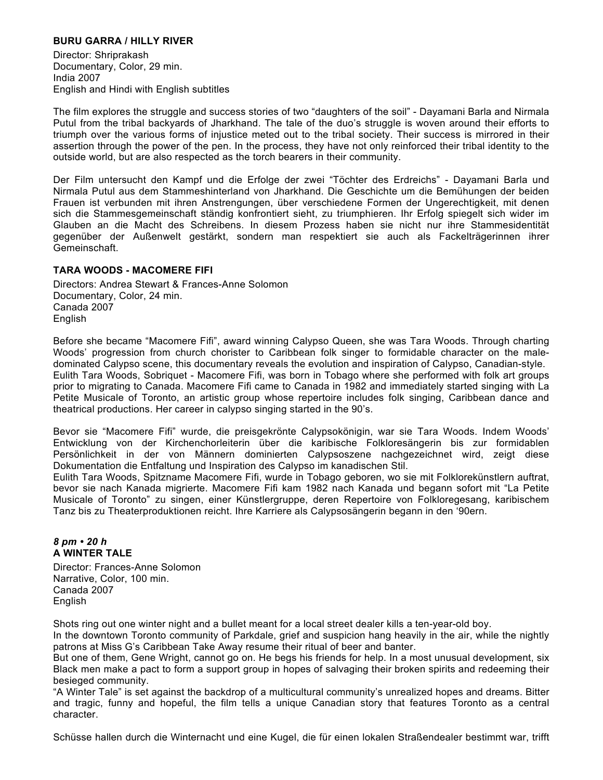## **BURU GARRA / HILLY RIVER**

Director: Shriprakash Documentary, Color, 29 min. India 2007 English and Hindi with English subtitles

The film explores the struggle and success stories of two "daughters of the soil" - Dayamani Barla and Nirmala Putul from the tribal backyards of Jharkhand. The tale of the duo's struggle is woven around their efforts to triumph over the various forms of injustice meted out to the tribal society. Their success is mirrored in their assertion through the power of the pen. In the process, they have not only reinforced their tribal identity to the outside world, but are also respected as the torch bearers in their community.

Der Film untersucht den Kampf und die Erfolge der zwei "Töchter des Erdreichs" - Dayamani Barla und Nirmala Putul aus dem Stammeshinterland von Jharkhand. Die Geschichte um die Bemühungen der beiden Frauen ist verbunden mit ihren Anstrengungen, über verschiedene Formen der Ungerechtigkeit, mit denen sich die Stammesgemeinschaft ständig konfrontiert sieht, zu triumphieren. Ihr Erfolg spiegelt sich wider im Glauben an die Macht des Schreibens. In diesem Prozess haben sie nicht nur ihre Stammesidentität gegenüber der Außenwelt gestärkt, sondern man respektiert sie auch als Fackelträgerinnen ihrer Gemeinschaft.

## **TARA WOODS - MACOMERE FIFI**

Directors: Andrea Stewart & Frances-Anne Solomon Documentary, Color, 24 min. Canada 2007 English

Before she became "Macomere Fifi", award winning Calypso Queen, she was Tara Woods. Through charting Woods' progression from church chorister to Caribbean folk singer to formidable character on the maledominated Calypso scene, this documentary reveals the evolution and inspiration of Calypso, Canadian-style. Eulith Tara Woods, Sobriquet - Macomere Fifi, was born in Tobago where she performed with folk art groups prior to migrating to Canada. Macomere Fifi came to Canada in 1982 and immediately started singing with La Petite Musicale of Toronto, an artistic group whose repertoire includes folk singing, Caribbean dance and theatrical productions. Her career in calypso singing started in the 90's.

Bevor sie "Macomere Fifi" wurde, die preisgekrönte Calypsokönigin, war sie Tara Woods. Indem Woods' Entwicklung von der Kirchenchorleiterin über die karibische Folkloresängerin bis zur formidablen Persönlichkeit in der von Männern dominierten Calypsoszene nachgezeichnet wird, zeigt diese Dokumentation die Entfaltung und Inspiration des Calypso im kanadischen Stil.

Eulith Tara Woods, Spitzname Macomere Fifi, wurde in Tobago geboren, wo sie mit Folklorekünstlern auftrat, bevor sie nach Kanada migrierte. Macomere Fifi kam 1982 nach Kanada und begann sofort mit "La Petite Musicale of Toronto" zu singen, einer Künstlergruppe, deren Repertoire von Folkloregesang, karibischem Tanz bis zu Theaterproduktionen reicht. Ihre Karriere als Calypsosängerin begann in den '90ern.

## *8 pm • 20 h*  **A WINTER TALE**

Director: Frances-Anne Solomon Narrative, Color, 100 min. Canada 2007 English

Shots ring out one winter night and a bullet meant for a local street dealer kills a ten-year-old boy.

In the downtown Toronto community of Parkdale, grief and suspicion hang heavily in the air, while the nightly patrons at Miss G's Caribbean Take Away resume their ritual of beer and banter.

But one of them, Gene Wright, cannot go on. He begs his friends for help. In a most unusual development, six Black men make a pact to form a support group in hopes of salvaging their broken spirits and redeeming their besieged community.

"A Winter Tale" is set against the backdrop of a multicultural community's unrealized hopes and dreams. Bitter and tragic, funny and hopeful, the film tells a unique Canadian story that features Toronto as a central character.

Schüsse hallen durch die Winternacht und eine Kugel, die für einen lokalen Straßendealer bestimmt war, trifft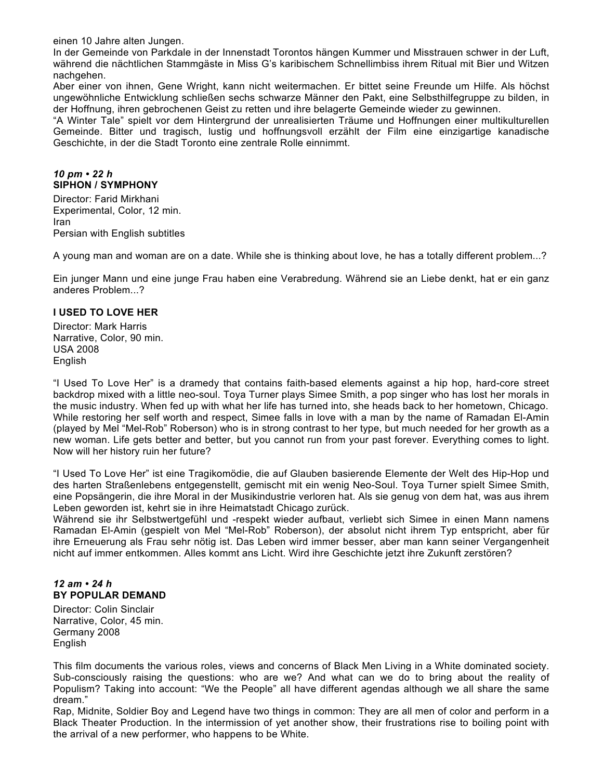einen 10 Jahre alten Jungen.

In der Gemeinde von Parkdale in der Innenstadt Torontos hängen Kummer und Misstrauen schwer in der Luft, während die nächtlichen Stammgäste in Miss G's karibischem Schnellimbiss ihrem Ritual mit Bier und Witzen nachgehen.

Aber einer von ihnen, Gene Wright, kann nicht weitermachen. Er bittet seine Freunde um Hilfe. Als höchst ungewöhnliche Entwicklung schließen sechs schwarze Männer den Pakt, eine Selbsthilfegruppe zu bilden, in der Hoffnung, ihren gebrochenen Geist zu retten und ihre belagerte Gemeinde wieder zu gewinnen.

"A Winter Tale" spielt vor dem Hintergrund der unrealisierten Träume und Hoffnungen einer multikulturellen Gemeinde. Bitter und tragisch, lustig und hoffnungsvoll erzählt der Film eine einzigartige kanadische Geschichte, in der die Stadt Toronto eine zentrale Rolle einnimmt.

## *10 pm • 22 h*  **SIPHON / SYMPHONY**

Director: Farid Mirkhani Experimental, Color, 12 min. Iran Persian with English subtitles

A young man and woman are on a date. While she is thinking about love, he has a totally different problem...?

Ein junger Mann und eine junge Frau haben eine Verabredung. Während sie an Liebe denkt, hat er ein ganz anderes Problem...?

## **I USED TO LOVE HER**

Director: Mark Harris Narrative, Color, 90 min. USA 2008 English

"I Used To Love Her" is a dramedy that contains faith-based elements against a hip hop, hard-core street backdrop mixed with a little neo-soul. Toya Turner plays Simee Smith, a pop singer who has lost her morals in the music industry. When fed up with what her life has turned into, she heads back to her hometown, Chicago. While restoring her self worth and respect, Simee falls in love with a man by the name of Ramadan El-Amin (played by Mel "Mel-Rob" Roberson) who is in strong contrast to her type, but much needed for her growth as a new woman. Life gets better and better, but you cannot run from your past forever. Everything comes to light. Now will her history ruin her future?

"I Used To Love Her" ist eine Tragikomödie, die auf Glauben basierende Elemente der Welt des Hip-Hop und des harten Straßenlebens entgegenstellt, gemischt mit ein wenig Neo-Soul. Toya Turner spielt Simee Smith, eine Popsängerin, die ihre Moral in der Musikindustrie verloren hat. Als sie genug von dem hat, was aus ihrem Leben geworden ist, kehrt sie in ihre Heimatstadt Chicago zurück.

Während sie ihr Selbstwertgefühl und -respekt wieder aufbaut, verliebt sich Simee in einen Mann namens Ramadan El-Amin (gespielt von Mel "Mel-Rob" Roberson), der absolut nicht ihrem Typ entspricht, aber für ihre Erneuerung als Frau sehr nötig ist. Das Leben wird immer besser, aber man kann seiner Vergangenheit nicht auf immer entkommen. Alles kommt ans Licht. Wird ihre Geschichte jetzt ihre Zukunft zerstören?

## *12 am • 24 h*  **BY POPULAR DEMAND**

Director: Colin Sinclair Narrative, Color, 45 min. Germany 2008 English

This film documents the various roles, views and concerns of Black Men Living in a White dominated society. Sub-consciously raising the questions: who are we? And what can we do to bring about the reality of Populism? Taking into account: "We the People" all have different agendas although we all share the same dream."

Rap, Midnite, Soldier Boy and Legend have two things in common: They are all men of color and perform in a Black Theater Production. In the intermission of yet another show, their frustrations rise to boiling point with the arrival of a new performer, who happens to be White.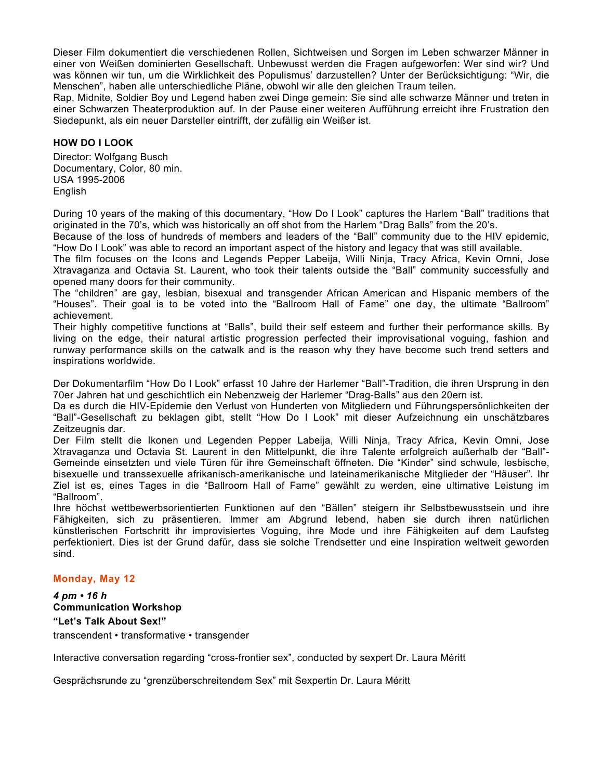Dieser Film dokumentiert die verschiedenen Rollen, Sichtweisen und Sorgen im Leben schwarzer Männer in einer von Weißen dominierten Gesellschaft. Unbewusst werden die Fragen aufgeworfen: Wer sind wir? Und was können wir tun, um die Wirklichkeit des Populismus' darzustellen? Unter der Berücksichtigung: "Wir, die Menschen", haben alle unterschiedliche Pläne, obwohl wir alle den gleichen Traum teilen.

Rap, Midnite, Soldier Boy und Legend haben zwei Dinge gemein: Sie sind alle schwarze Männer und treten in einer Schwarzen Theaterproduktion auf. In der Pause einer weiteren Aufführung erreicht ihre Frustration den Siedepunkt, als ein neuer Darsteller eintrifft, der zufällig ein Weißer ist.

## **HOW DO I LOOK**

Director: Wolfgang Busch Documentary, Color, 80 min. USA 1995-2006 English

During 10 years of the making of this documentary, "How Do I Look" captures the Harlem "Ball" traditions that originated in the 70's, which was historically an off shot from the Harlem "Drag Balls" from the 20's.

Because of the loss of hundreds of members and leaders of the "Ball" community due to the HIV epidemic, "How Do I Look" was able to record an important aspect of the history and legacy that was still available.

The film focuses on the Icons and Legends Pepper Labeija, Willi Ninja, Tracy Africa, Kevin Omni, Jose Xtravaganza and Octavia St. Laurent, who took their talents outside the "Ball" community successfully and opened many doors for their community.

The "children" are gay, lesbian, bisexual and transgender African American and Hispanic members of the "Houses". Their goal is to be voted into the "Ballroom Hall of Fame" one day, the ultimate "Ballroom" achievement.

Their highly competitive functions at "Balls", build their self esteem and further their performance skills. By living on the edge, their natural artistic progression perfected their improvisational voguing, fashion and runway performance skills on the catwalk and is the reason why they have become such trend setters and inspirations worldwide.

Der Dokumentarfilm "How Do I Look" erfasst 10 Jahre der Harlemer "Ball"-Tradition, die ihren Ursprung in den 70er Jahren hat und geschichtlich ein Nebenzweig der Harlemer "Drag-Balls" aus den 20ern ist.

Da es durch die HIV-Epidemie den Verlust von Hunderten von Mitgliedern und Führungspersönlichkeiten der "Ball"-Gesellschaft zu beklagen gibt, stellt "How Do I Look" mit dieser Aufzeichnung ein unschätzbares Zeitzeugnis dar.

Der Film stellt die Ikonen und Legenden Pepper Labeija, Willi Ninja, Tracy Africa, Kevin Omni, Jose Xtravaganza und Octavia St. Laurent in den Mittelpunkt, die ihre Talente erfolgreich außerhalb der "Ball"- Gemeinde einsetzten und viele Türen für ihre Gemeinschaft öffneten. Die "Kinder" sind schwule, lesbische, bisexuelle und transsexuelle afrikanisch-amerikanische und lateinamerikanische Mitglieder der "Häuser". Ihr Ziel ist es, eines Tages in die "Ballroom Hall of Fame" gewählt zu werden, eine ultimative Leistung im "Ballroom".

Ihre höchst wettbewerbsorientierten Funktionen auf den "Bällen" steigern ihr Selbstbewusstsein und ihre Fähigkeiten, sich zu präsentieren. Immer am Abgrund lebend, haben sie durch ihren natürlichen künstlerischen Fortschritt ihr improvisiertes Voguing, ihre Mode und ihre Fähigkeiten auf dem Laufsteg perfektioniert. Dies ist der Grund dafür, dass sie solche Trendsetter und eine Inspiration weltweit geworden sind.

## **Monday, May 12**

*4 pm • 16 h*  **Communication Workshop "Let's Talk About Sex!"**  transcendent • transformative • transgender

Interactive conversation regarding "cross-frontier sex", conducted by sexpert Dr. Laura Méritt

Gesprächsrunde zu "grenzüberschreitendem Sex" mit Sexpertin Dr. Laura Méritt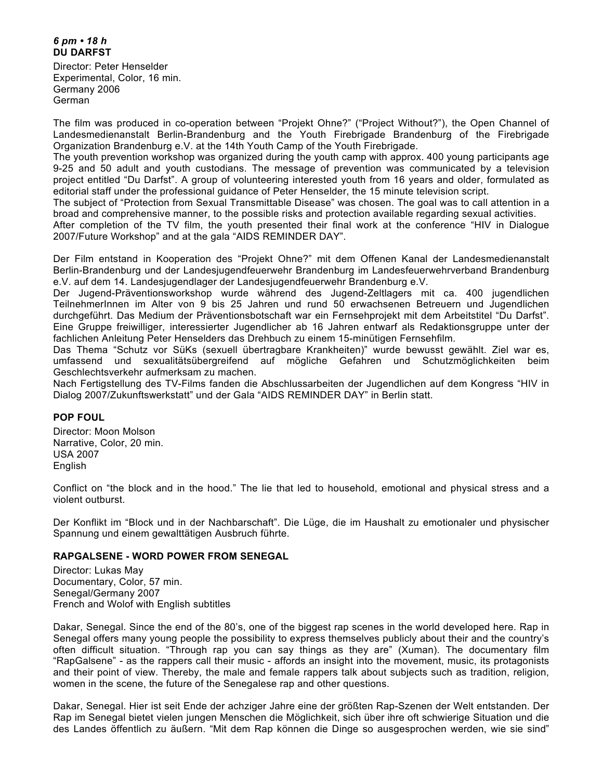## *6 pm • 18 h*  **DU DARFST**

Director: Peter Henselder Experimental, Color, 16 min. Germany 2006 German

The film was produced in co-operation between "Projekt Ohne?" ("Project Without?"), the Open Channel of Landesmedienanstalt Berlin-Brandenburg and the Youth Firebrigade Brandenburg of the Firebrigade Organization Brandenburg e.V. at the 14th Youth Camp of the Youth Firebrigade.

The youth prevention workshop was organized during the youth camp with approx. 400 young participants age 9-25 and 50 adult and youth custodians. The message of prevention was communicated by a television project entitled "Du Darfst". A group of volunteering interested youth from 16 years and older, formulated as editorial staff under the professional guidance of Peter Henselder, the 15 minute television script.

The subject of "Protection from Sexual Transmittable Disease" was chosen. The goal was to call attention in a broad and comprehensive manner, to the possible risks and protection available regarding sexual activities.

After completion of the TV film, the youth presented their final work at the conference "HIV in Dialogue 2007/Future Workshop" and at the gala "AIDS REMINDER DAY".

Der Film entstand in Kooperation des "Projekt Ohne?" mit dem Offenen Kanal der Landesmedienanstalt Berlin-Brandenburg und der Landesjugendfeuerwehr Brandenburg im Landesfeuerwehrverband Brandenburg e.V. auf dem 14. Landesjugendlager der Landesjugendfeuerwehr Brandenburg e.V.

Der Jugend-Präventionsworkshop wurde während des Jugend-Zeltlagers mit ca. 400 jugendlichen TeilnehmerInnen im Alter von 9 bis 25 Jahren und rund 50 erwachsenen Betreuern und Jugendlichen durchgeführt. Das Medium der Präventionsbotschaft war ein Fernsehprojekt mit dem Arbeitstitel "Du Darfst". Eine Gruppe freiwilliger, interessierter Jugendlicher ab 16 Jahren entwarf als Redaktionsgruppe unter der fachlichen Anleitung Peter Henselders das Drehbuch zu einem 15-minütigen Fernsehfilm.

Das Thema "Schutz vor SüKs (sexuell übertragbare Krankheiten)" wurde bewusst gewählt. Ziel war es, umfassend und sexualitätsübergreifend auf mögliche Gefahren und Schutzmöglichkeiten beim Geschlechtsverkehr aufmerksam zu machen.

Nach Fertigstellung des TV-Films fanden die Abschlussarbeiten der Jugendlichen auf dem Kongress "HIV in Dialog 2007/Zukunftswerkstatt" und der Gala "AIDS REMINDER DAY" in Berlin statt.

## **POP FOUL**

Director: Moon Molson Narrative, Color, 20 min. USA 2007 English

Conflict on "the block and in the hood." The lie that led to household, emotional and physical stress and a violent outburst.

Der Konflikt im "Block und in der Nachbarschaft". Die Lüge, die im Haushalt zu emotionaler und physischer Spannung und einem gewalttätigen Ausbruch führte.

## **RAPGALSENE - WORD POWER FROM SENEGAL**

Director: Lukas May Documentary, Color, 57 min. Senegal/Germany 2007 French and Wolof with English subtitles

Dakar, Senegal. Since the end of the 80's, one of the biggest rap scenes in the world developed here. Rap in Senegal offers many young people the possibility to express themselves publicly about their and the country's often difficult situation. "Through rap you can say things as they are" (Xuman). The documentary film "RapGalsene" - as the rappers call their music - affords an insight into the movement, music, its protagonists and their point of view. Thereby, the male and female rappers talk about subjects such as tradition, religion, women in the scene, the future of the Senegalese rap and other questions.

Dakar, Senegal. Hier ist seit Ende der achziger Jahre eine der größten Rap-Szenen der Welt entstanden. Der Rap im Senegal bietet vielen jungen Menschen die Möglichkeit, sich über ihre oft schwierige Situation und die des Landes öffentlich zu äußern. "Mit dem Rap können die Dinge so ausgesprochen werden, wie sie sind"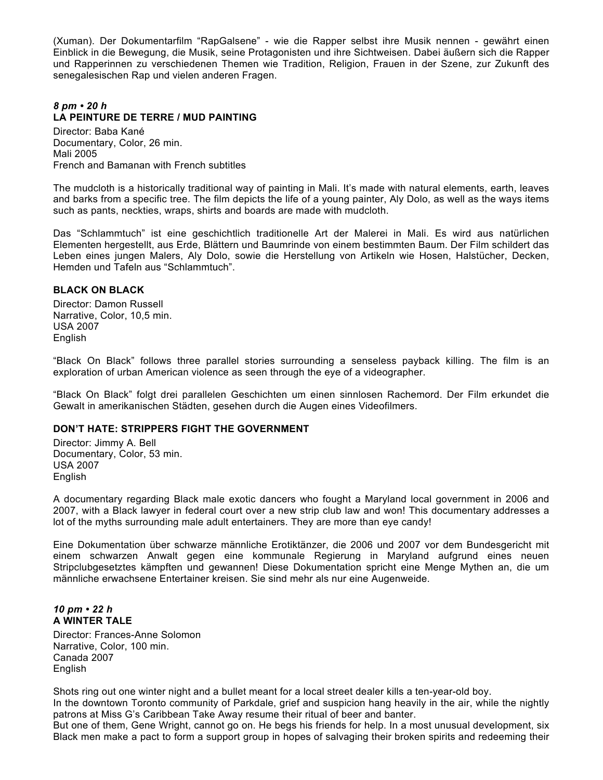(Xuman). Der Dokumentarfilm "RapGalsene" - wie die Rapper selbst ihre Musik nennen - gewährt einen Einblick in die Bewegung, die Musik, seine Protagonisten und ihre Sichtweisen. Dabei äußern sich die Rapper und Rapperinnen zu verschiedenen Themen wie Tradition, Religion, Frauen in der Szene, zur Zukunft des senegalesischen Rap und vielen anderen Fragen.

# *8 pm • 20 h*  **LA PEINTURE DE TERRE / MUD PAINTING**

Director: Baba Kané Documentary, Color, 26 min. Mali 2005 French and Bamanan with French subtitles

The mudcloth is a historically traditional way of painting in Mali. It's made with natural elements, earth, leaves and barks from a specific tree. The film depicts the life of a young painter, Aly Dolo, as well as the ways items such as pants, neckties, wraps, shirts and boards are made with mudcloth.

Das "Schlammtuch" ist eine geschichtlich traditionelle Art der Malerei in Mali. Es wird aus natürlichen Elementen hergestellt, aus Erde, Blättern und Baumrinde von einem bestimmten Baum. Der Film schildert das Leben eines jungen Malers, Aly Dolo, sowie die Herstellung von Artikeln wie Hosen, Halstücher, Decken, Hemden und Tafeln aus "Schlammtuch".

## **BLACK ON BLACK**

Director: Damon Russell Narrative, Color, 10,5 min. USA 2007 English

"Black On Black" follows three parallel stories surrounding a senseless payback killing. The film is an exploration of urban American violence as seen through the eye of a videographer.

"Black On Black" folgt drei parallelen Geschichten um einen sinnlosen Rachemord. Der Film erkundet die Gewalt in amerikanischen Städten, gesehen durch die Augen eines Videofilmers.

## **DON'T HATE: STRIPPERS FIGHT THE GOVERNMENT**

Director: Jimmy A. Bell Documentary, Color, 53 min. USA 2007 English

A documentary regarding Black male exotic dancers who fought a Maryland local government in 2006 and 2007, with a Black lawyer in federal court over a new strip club law and won! This documentary addresses a lot of the myths surrounding male adult entertainers. They are more than eye candy!

Eine Dokumentation über schwarze männliche Erotiktänzer, die 2006 und 2007 vor dem Bundesgericht mit einem schwarzen Anwalt gegen eine kommunale Regierung in Maryland aufgrund eines neuen Stripclubgesetztes kämpften und gewannen! Diese Dokumentation spricht eine Menge Mythen an, die um männliche erwachsene Entertainer kreisen. Sie sind mehr als nur eine Augenweide.

## *10 pm • 22 h*  **A WINTER TALE**

Director: Frances-Anne Solomon Narrative, Color, 100 min. Canada 2007 English

Shots ring out one winter night and a bullet meant for a local street dealer kills a ten-year-old boy.

In the downtown Toronto community of Parkdale, grief and suspicion hang heavily in the air, while the nightly patrons at Miss G's Caribbean Take Away resume their ritual of beer and banter.

But one of them, Gene Wright, cannot go on. He begs his friends for help. In a most unusual development, six Black men make a pact to form a support group in hopes of salvaging their broken spirits and redeeming their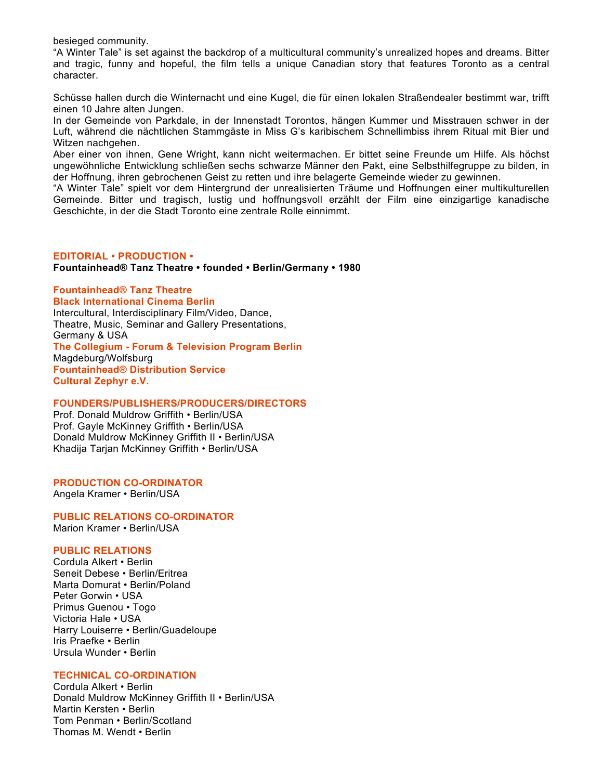besieged community.

"A Winter Tale" is set against the backdrop of a multicultural community's unrealized hopes and dreams. Bitter and tragic, funny and hopeful, the film tells a unique Canadian story that features Toronto as a central character.

Schüsse hallen durch die Winternacht und eine Kugel, die für einen lokalen Straßendealer bestimmt war, trifft einen 10 Jahre alten Jungen.

In der Gemeinde von Parkdale, in der Innenstadt Torontos, hängen Kummer und Misstrauen schwer in der Luft, während die nächtlichen Stammgäste in Miss G's karibischem Schnellimbiss ihrem Ritual mit Bier und Witzen nachgehen.

Aber einer von ihnen, Gene Wright, kann nicht weitermachen. Er bittet seine Freunde um Hilfe. Als höchst ungewöhnliche Entwicklung schließen sechs schwarze Männer den Pakt, eine Selbsthilfegruppe zu bilden, in der Hoffnung, ihren gebrochenen Geist zu retten und ihre belagerte Gemeinde wieder zu gewinnen.

"A Winter Tale" spielt vor dem Hintergrund der unrealisierten Träume und Hoffnungen einer multikulturellen Gemeinde. Bitter und tragisch, lustig und hoffnungsvoll erzählt der Film eine einzigartige kanadische Geschichte, in der die Stadt Toronto eine zentrale Rolle einnimmt.

#### **EDITORIAL • PRODUCTION • Fountainhead® Tanz Theatre • founded • Berlin/Germany • 1980**

**Fountainhead® Tanz Theatre Black International Cinema Berlin**  Intercultural, Interdisciplinary Film/Video, Dance, Theatre, Music, Seminar and Gallery Presentations, Germany & USA **The Collegium - Forum & Television Program Berlin**  Magdeburg/Wolfsburg **Fountainhead® Distribution Service Cultural Zephyr e.V.** 

## **FOUNDERS/PUBLISHERS/PRODUCERS/DIRECTORS**

Prof. Donald Muldrow Griffith • Berlin/USA Prof. Gayle McKinney Griffith • Berlin/USA Donald Muldrow McKinney Griffith II • Berlin/USA Khadija Tarjan McKinney Griffith • Berlin/USA

## **PRODUCTION CO-ORDINATOR**

Angela Kramer • Berlin/USA

**PUBLIC RELATIONS CO-ORDINATOR**  Marion Kramer • Berlin/USA

## **PUBLIC RELATIONS**

Cordula Alkert • Berlin Seneit Debese • Berlin/Eritrea Marta Domurat • Berlin/Poland Peter Gorwin • USA Primus Guenou • Togo Victoria Hale • USA Harry Louiserre • Berlin/Guadeloupe Iris Praefke • Berlin Ursula Wunder • Berlin

## **TECHNICAL CO-ORDINATION**

Cordula Alkert • Berlin Donald Muldrow McKinney Griffith II • Berlin/USA Martin Kersten • Berlin Tom Penman • Berlin/Scotland Thomas M. Wendt • Berlin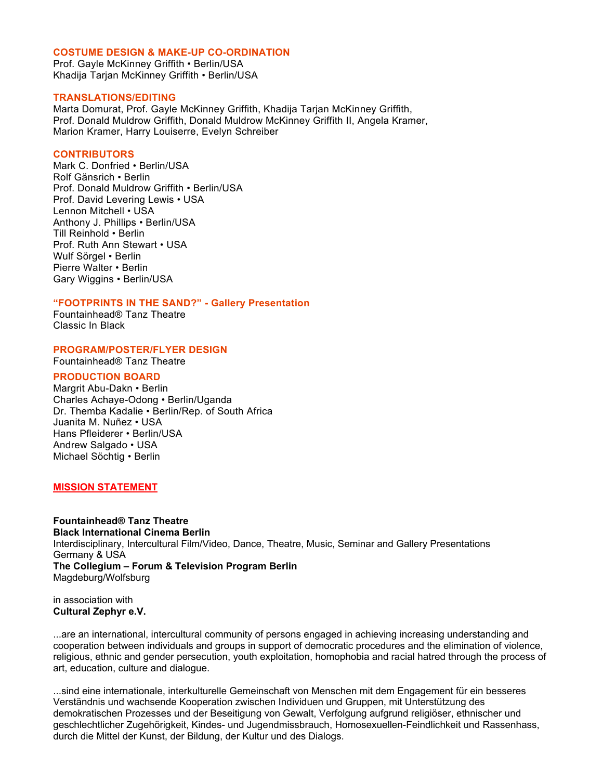#### **COSTUME DESIGN & MAKE-UP CO-ORDINATION**

Prof. Gayle McKinney Griffith • Berlin/USA Khadija Tarjan McKinney Griffith • Berlin/USA

#### **TRANSLATIONS/EDITING**

Marta Domurat, Prof. Gayle McKinney Griffith, Khadija Tarjan McKinney Griffith, Prof. Donald Muldrow Griffith, Donald Muldrow McKinney Griffith II, Angela Kramer, Marion Kramer, Harry Louiserre, Evelyn Schreiber

#### **CONTRIBUTORS**

Mark C. Donfried • Berlin/USA Rolf Gänsrich • Berlin Prof. Donald Muldrow Griffith • Berlin/USA Prof. David Levering Lewis • USA Lennon Mitchell • USA Anthony J. Phillips • Berlin/USA Till Reinhold • Berlin Prof. Ruth Ann Stewart • USA Wulf Sörgel • Berlin Pierre Walter • Berlin Gary Wiggins • Berlin/USA

## **"FOOTPRINTS IN THE SAND?" - Gallery Presentation**

Fountainhead® Tanz Theatre Classic In Black

**PROGRAM/POSTER/FLYER DESIGN** 

Fountainhead® Tanz Theatre

## **PRODUCTION BOARD**

Margrit Abu-Dakn • Berlin Charles Achaye-Odong • Berlin/Uganda Dr. Themba Kadalie • Berlin/Rep. of South Africa Juanita M. Nuñez • USA Hans Pfleiderer • Berlin/USA Andrew Salgado • USA Michael Söchtig • Berlin

## **MISSION STATEMENT**

**Fountainhead® Tanz Theatre Black International Cinema Berlin**  Interdisciplinary, Intercultural Film/Video, Dance, Theatre, Music, Seminar and Gallery Presentations Germany & USA **The Collegium – Forum & Television Program Berlin**  Magdeburg/Wolfsburg

in association with **Cultural Zephyr e.V.**

...are an international, intercultural community of persons engaged in achieving increasing understanding and cooperation between individuals and groups in support of democratic procedures and the elimination of violence, religious, ethnic and gender persecution, youth exploitation, homophobia and racial hatred through the process of art, education, culture and dialogue.

...sind eine internationale, interkulturelle Gemeinschaft von Menschen mit dem Engagement für ein besseres Verständnis und wachsende Kooperation zwischen Individuen und Gruppen, mit Unterstützung des demokratischen Prozesses und der Beseitigung von Gewalt, Verfolgung aufgrund religiöser, ethnischer und geschlechtlicher Zugehörigkeit, Kindes- und Jugendmissbrauch, Homosexuellen-Feindlichkeit und Rassenhass, durch die Mittel der Kunst, der Bildung, der Kultur und des Dialogs.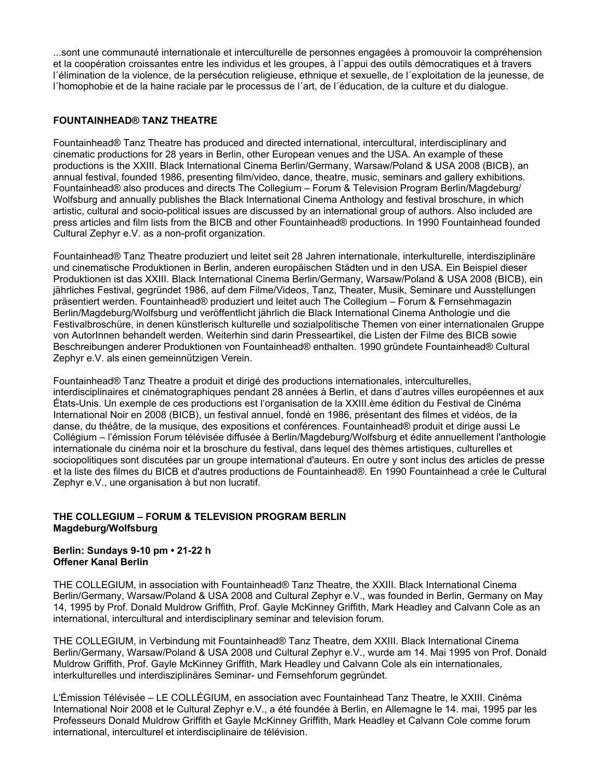...sont une communauté internationale et interculturelle de personnes engagées à promouvoir la compréhension et la coopération croissantes entre les individus et les groupes, à l´appui des outils démocratiques et à travers l´élimination de la violence, de la persécution religieuse, ethnique et sexuelle, de l´exploitation de la jeunesse, de l´homophobie et de la haine raciale par le processus de l´art, de l´éducation, de la culture et du dialogue.

## **FOUNTAINHEAD® TANZ THEATRE**

Fountainhead® Tanz Theatre has produced and directed international, intercultural, interdisciplinary and cinematic productions for 28 years in Berlin, other European venues and the USA. An example of these productions is the XXIII. Black International Cinema Berlin/Germany, Warsaw/Poland & USA 2008 (BICB), an annual festival, founded 1986, presenting film/video, dance, theatre, music, seminars and gallery exhibitions. Fountainhead® also produces and directs The Collegium – Forum & Television Program Berlin/Magdeburg/ Wolfsburg and annually publishes the Black International Cinema Anthology and festival broschure, in which artistic, cultural and socio-political issues are discussed by an international group of authors. Also included are press articles and film lists from the BICB and other Fountainhead® productions. In 1990 Fountainhead founded Cultural Zephyr e.V. as a non-profit organization.

Fountainhead® Tanz Theatre produziert und leitet seit 28 Jahren internationale, interkulturelle, interdisziplinäre und cinematische Produktionen in Berlin, anderen europäischen Städten und in den USA. Ein Beispiel dieser Produktionen ist das XXIII. Black International Cinema Berlin/Germany, Warsaw/Poland & USA 2008 (BICB), ein jährliches Festival, gegründet 1986, auf dem Filme/Videos, Tanz, Theater, Musik, Seminare und Ausstellungen präsentiert werden. Fountainhead® produziert und leitet auch The Collegium – Forum & Fernsehmagazin Berlin/Magdeburg/Wolfsburg und veröffentlicht jährlich die Black International Cinema Anthologie und die Festivalbroschüre, in denen künstlerisch kulturelle und sozialpolitische Themen von einer internationalen Gruppe von AutorInnen behandelt werden. Weiterhin sind darin Presseartikel, die Listen der Filme des BICB sowie Beschreibungen anderer Produktionen von Fountainhead® enthalten. 1990 gründete Fountainhead® Cultural Zephyr e.V. als einen gemeinnützigen Verein.

Fountainhead® Tanz Theatre a produit et dirigé des productions internationales, interculturelles, interdisciplinaires et cinématographiques pendant 28 années à Berlin, et dans d'autres villes européennes et aux États-Unis. Un exemple de ces productions est l'organisation de la XXIII.ème édition du Festival de Cinéma International Noir en 2008 (BICB), un festival annuel, fondé en 1986, présentant des filmes et vidéos, de la danse, du théâtre, de la musique, des expositions et conférences. Fountainhead® produit et dirige aussi Le Collégium – l'émission Forum télévisée diffusée à Berlin/Magdeburg/Wolfsburg et édite annuellement l'anthologie internationale du cinéma noir et la broschure du festival, dans lequel des thèmes artistiques, culturelles et sociopolitiques sont discutées par un groupe international d'auteurs. En outre y sont inclus des articles de presse et la liste des filmes du BICB et d'autres productions de Fountainhead®. En 1990 Fountainhead a crée le Cultural Zephyr e.V., une organisation à but non lucratif.

# **THE COLLEGIUM – FORUM & TELEVISION PROGRAM BERLIN Magdeburg/Wolfsburg**

## **Berlin: Sundays 9-10 pm • 21-22 h Offener Kanal Berlin**

THE COLLEGIUM, in association with Fountainhead® Tanz Theatre, the XXIII. Black International Cinema Berlin/Germany, Warsaw/Poland & USA 2008 and Cultural Zephyr e.V., was founded in Berlin, Germany on May 14, 1995 by Prof. Donald Muldrow Griffith, Prof. Gayle McKinney Griffith, Mark Headley and Calvann Cole as an international, intercultural and interdisciplinary seminar and television forum.

THE COLLEGIUM, in Verbindung mit Fountainhead® Tanz Theatre, dem XXIII. Black International Cinema Berlin/Germany, Warsaw/Poland & USA 2008 und Cultural Zephyr e.V., wurde am 14. Mai 1995 von Prof. Donald Muldrow Griffith, Prof. Gayle McKinney Griffith, Mark Headley und Calvann Cole als ein internationales, interkulturelles und interdisziplinäres Seminar- und Fernsehforum gegründet.

L'Émission Télévisée – LE COLLÉGIUM, en association avec Fountainhead Tanz Theatre, le XXIII. Cinéma International Noir 2008 et le Cultural Zephyr e.V., a été foundée à Berlin, en Allemagne le 14. mai, 1995 par les Professeurs Donald Muldrow Griffith et Gayle McKinney Griffith, Mark Headley et Calvann Cole comme forum international, interculturel et interdisciplinaire de télévision.